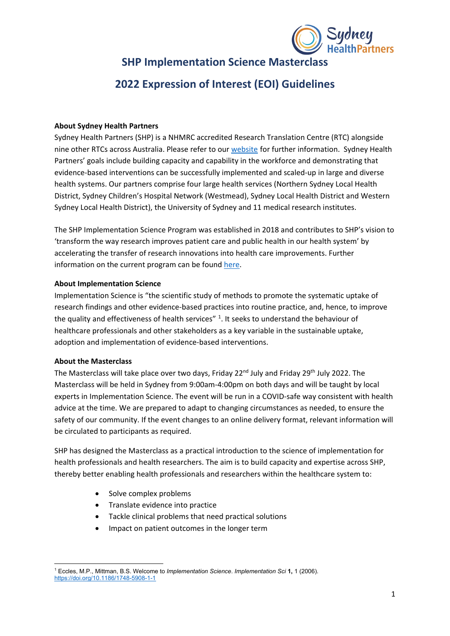

# **SHP Implementation Science Masterclass**

# **2022 Expression of Interest (EOI) Guidelines**

### **About Sydney Health Partners**

Sydney Health Partners (SHP) is a NHMRC accredited Research Translation Centre (RTC) alongside nine other RTCs across Australia. Please refer to our [website](https://sydneyhealthpartners.org.au/about/) for further information. Sydney Health Partners' goals include building capacity and capability in the workforce and demonstrating that evidence-based interventions can be successfully implemented and scaled-up in large and diverse health systems. Our partners comprise four large health services (Northern Sydney Local Health District, Sydney Children's Hospital Network (Westmead), Sydney Local Health District and Western Sydney Local Health District), the University of Sydney and 11 medical research institutes.

The SHP Implementation Science Program was established in 2018 and contributes to SHP's vision to 'transform the way research improves patient care and public health in our health system' by accelerating the transfer of research innovations into health care improvements. Further information on the current program can be found [here.](https://implementationscience.com.au/)

### **About Implementation Science**

Implementation Science is "the scientific study of methods to promote the systematic uptake of research findings and other evidence-based practices into routine practice, and, hence, to improve the quality and effectiveness of health services"  $1$ . It seeks to understand the behaviour of healthcare professionals and other stakeholders as a key variable in the sustainable uptake, adoption and implementation of evidence-based interventions.

#### **About the Masterclass**

The Masterclass will take place over two days, Friday 22<sup>nd</sup> July and Friday 29<sup>th</sup> July 2022. The Masterclass will be held in Sydney from 9:00am-4:00pm on both days and will be taught by local experts in Implementation Science. The event will be run in a COVID-safe way consistent with health advice at the time. We are prepared to adapt to changing circumstances as needed, to ensure the safety of our community. If the event changes to an online delivery format, relevant information will be circulated to participants as required.

SHP has designed the Masterclass as a practical introduction to the science of implementation for health professionals and health researchers. The aim is to build capacity and expertise across SHP, thereby better enabling health professionals and researchers within the healthcare system to:

- Solve complex problems
- Translate evidence into practice
- Tackle clinical problems that need practical solutions
- Impact on patient outcomes in the longer term

<span id="page-0-0"></span><sup>1</sup> Eccles, M.P., Mittman, B.S. Welcome to *Implementation Science*. *Implementation Sci* **1,** 1 (2006). <https://doi.org/10.1186/1748-5908-1-1>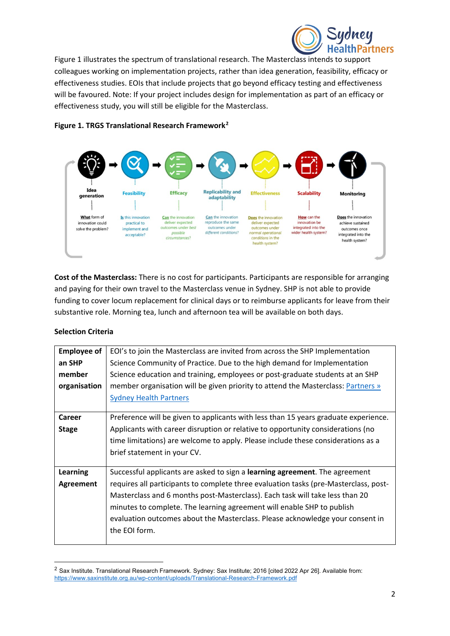

Figure 1 illustrates the spectrum of translational research. The Masterclass intends to support colleagues working on implementation projects, rather than idea generation, feasibility, efficacy or effectiveness studies. EOIs that include projects that go beyond efficacy testing and effectiveness will be favoured. Note: If your project includes design for implementation as part of an efficacy or effectiveness study, you will still be eligible for the Masterclass.



# **Figure 1. TRGS Translational Research Framework[2](#page-1-0)**

**Cost of the Masterclass:** There is no cost for participants. Participants are responsible for arranging and paying for their own travel to the Masterclass venue in Sydney. SHP is not able to provide funding to cover locum replacement for clinical days or to reimburse applicants for leave from their substantive role. Morning tea, lunch and afternoon tea will be available on both days.

# **Selection Criteria**

| <b>Employee of</b> | EOI's to join the Masterclass are invited from across the SHP Implementation         |
|--------------------|--------------------------------------------------------------------------------------|
| an SHP             | Science Community of Practice. Due to the high demand for Implementation             |
| member             | Science education and training, employees or post-graduate students at an SHP        |
| organisation       | member organisation will be given priority to attend the Masterclass: Partners »     |
|                    | <b>Sydney Health Partners</b>                                                        |
|                    |                                                                                      |
| <b>Career</b>      | Preference will be given to applicants with less than 15 years graduate experience.  |
| <b>Stage</b>       | Applicants with career disruption or relative to opportunity considerations (no      |
|                    | time limitations) are welcome to apply. Please include these considerations as a     |
|                    | brief statement in your CV.                                                          |
|                    |                                                                                      |
| <b>Learning</b>    | Successful applicants are asked to sign a learning agreement. The agreement          |
| Agreement          | requires all participants to complete three evaluation tasks (pre-Masterclass, post- |
|                    | Masterclass and 6 months post-Masterclass). Each task will take less than 20         |
|                    | minutes to complete. The learning agreement will enable SHP to publish               |
|                    | evaluation outcomes about the Masterclass. Please acknowledge your consent in        |
|                    | the EOI form.                                                                        |
|                    |                                                                                      |

<span id="page-1-0"></span><sup>&</sup>lt;sup>2</sup> Sax Institute. Translational Research Framework. Sydney: Sax Institute; 2016 [cited 2022 Apr 26]. Available from: <https://www.saxinstitute.org.au/wp-content/uploads/Translational-Research-Framework.pdf>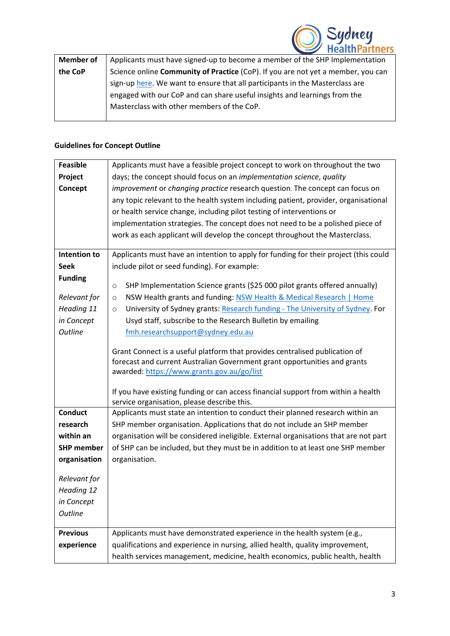

| <b>Member of</b> | Applicants must have signed-up to become a member of the SHP Implementation      |
|------------------|----------------------------------------------------------------------------------|
| the CoP          | Science online Community of Practice (CoP). If you are not yet a member, you can |
|                  | sign-up here. We want to ensure that all participants in the Masterclass are     |
|                  | engaged with our CoP and can share useful insights and learnings from the        |
|                  | Masterclass with other members of the CoP.                                       |
|                  |                                                                                  |

# **Guidelines for Concept Outline**

| <b>Feasible</b>   | Applicants must have a feasible project concept to work on throughout the two            |
|-------------------|------------------------------------------------------------------------------------------|
| Project           | days; the concept should focus on an implementation science, quality                     |
| Concept           | improvement or changing practice research question. The concept can focus on             |
|                   | any topic relevant to the health system including patient, provider, organisational      |
|                   | or health service change, including pilot testing of interventions or                    |
|                   | implementation strategies. The concept does not need to be a polished piece of           |
|                   | work as each applicant will develop the concept throughout the Masterclass.              |
| Intention to      | Applicants must have an intention to apply for funding for their project (this could     |
| <b>Seek</b>       | include pilot or seed funding). For example:                                             |
| <b>Funding</b>    |                                                                                          |
|                   | SHP Implementation Science grants (\$25 000 pilot grants offered annually)<br>$\circ$    |
| Relevant for      | NSW Health grants and funding: NSW Health & Medical Research   Home<br>$\circ$           |
| Heading 11        | University of Sydney grants: Research funding - The University of Sydney. For<br>$\circ$ |
| in Concept        | Usyd staff, subscribe to the Research Bulletin by emailing                               |
| <b>Outline</b>    | fmh.researchsupport@sydney.edu.au                                                        |
|                   | Grant Connect is a useful platform that provides centralised publication of              |
|                   | forecast and current Australian Government grant opportunities and grants                |
|                   | awarded: https://www.grants.gov.au/go/list                                               |
|                   |                                                                                          |
|                   | If you have existing funding or can access financial support from within a health        |
|                   | service organisation, please describe this.                                              |
| <b>Conduct</b>    | Applicants must state an intention to conduct their planned research within an           |
| research          | SHP member organisation. Applications that do not include an SHP member                  |
| within an         | organisation will be considered ineligible. External organisations that are not part     |
| <b>SHP member</b> | of SHP can be included, but they must be in addition to at least one SHP member          |
| organisation      | organisation.                                                                            |
| Relevant for      |                                                                                          |
| Heading 12        |                                                                                          |
| in Concept        |                                                                                          |
| <b>Outline</b>    |                                                                                          |
|                   |                                                                                          |
| <b>Previous</b>   | Applicants must have demonstrated experience in the health system (e.g.,                 |
| experience        | qualifications and experience in nursing, allied health, quality improvement,            |
|                   | health services management, medicine, health economics, public health, health            |